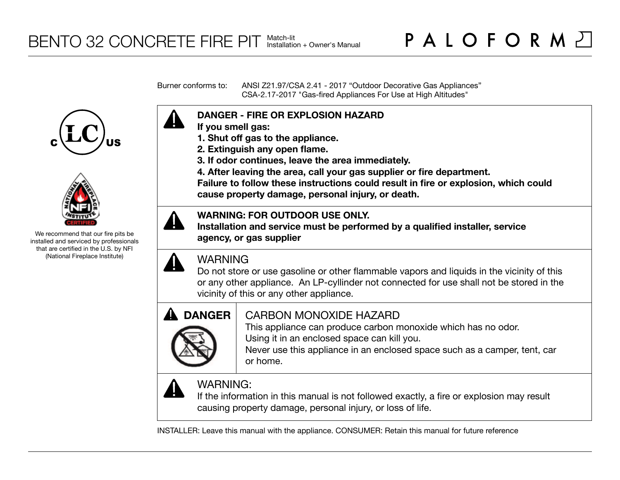Burner conforms to: ANSI Z21.97/CSA 2.41 - 2017 "Outdoor Decorative Gas Appliances" CSA-2.17-2017 "Gas-fired Appliances For Use at High Altitudes"





We recommend that our fire pits be installed and serviced by professionals that are certified in the U.S. by NFI (National Fireplace Institute)



- **If you smell gas:**
- **1. Shut off gas to the appliance.**
- **2. Extinguish any open flame.**
- **3. If odor continues, leave the area immediately.**
- **4. After leaving the area, call your gas supplier or fire department.**

**Failure to follow these instructions could result in fire or explosion, which could cause property damage, personal injury, or death.**

## **WARNING: FOR OUTDOOR USE ONLY.**

**Installation and service must be performed by a qualified installer, service agency, or gas supplier**



## WARNING

Do not store or use gasoline or other flammable vapors and liquids in the vicinity of this or any other appliance. An LP-cyllinder not connected for use shall not be stored in the vicinity of this or any other appliance.



## CARBON MONOXIDE HAZARD

This appliance can produce carbon monoxide which has no odor. Using it in an enclosed space can kill you.

Never use this appliance in an enclosed space such as a camper, tent, car or home.



# WARNING:

If the information in this manual is not followed exactly, a fire or explosion may result causing property damage, personal injury, or loss of life.

INSTALLER: Leave this manual with the appliance. CONSUMER: Retain this manual for future reference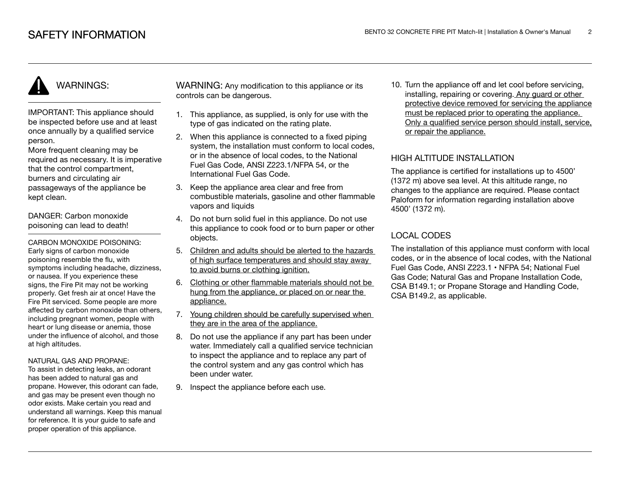# WARNINGS:

IMPORTANT: This appliance should be inspected before use and at least once annually by a qualified service person.

More frequent cleaning may be required as necessary. It is imperative that the control compartment, burners and circulating air passageways of the appliance be kept clean.

DANGER: Carbon monoxide poisoning can lead to death!

CARBON MONOXIDE POISONING: Early signs of carbon monoxide poisoning resemble the flu, with symptoms including headache, dizziness, or nausea. If you experience these signs, the Fire Pit may not be working properly. Get fresh air at once! Have the Fire Pit serviced. Some people are more affected by carbon monoxide than others, including pregnant women, people with heart or lung disease or anemia, those under the influence of alcohol, and those at high altitudes.

### NATURAL GAS AND PROPANE:

To assist in detecting leaks, an odorant has been added to natural gas and propane. However, this odorant can fade, and gas may be present even though no odor exists. Make certain you read and understand all warnings. Keep this manual for reference. It is your guide to safe and proper operation of this appliance.

WARNING: Any modification to this appliance or its controls can be dangerous.

- 1. This appliance, as supplied, is only for use with the type of gas indicated on the rating plate.
- 2. When this appliance is connected to a fixed piping system, the installation must conform to local codes. or in the absence of local codes, to the National Fuel Gas Code, ANSI Z223.1/NFPA 54, or the International Fuel Gas Code.
- 3. Keep the appliance area clear and free from combustible materials, gasoline and other flammable vapors and liquids
- 4. Do not burn solid fuel in this appliance. Do not use this appliance to cook food or to burn paper or other objects.
- 5. Children and adults should be alerted to the hazards of high surface temperatures and should stay away to avoid burns or clothing ignition.
- 6. Clothing or other flammable materials should not be hung from the appliance, or placed on or near the appliance.
- 7. Young children should be carefully supervised when they are in the area of the appliance.
- 8. Do not use the appliance if any part has been under water. Immediately call a qualified service technician to inspect the appliance and to replace any part of the control system and any gas control which has been under water.
- 9. Inspect the appliance before each use.

10. Turn the appliance off and let cool before servicing, installing, repairing or covering. Any guard or other protective device removed for servicing the appliance must be replaced prior to operating the appliance. Only a qualified service person should install, service, or repair the appliance.

### HIGH ALTITUDE INSTALLATION

The appliance is certified for installations up to 4500' (1372 m) above sea level. At this altitude range, no changes to the appliance are required. Please contact Paloform for information regarding installation above 4500' (1372 m).

## LOCAL CODES

The installation of this appliance must conform with local codes, or in the absence of local codes, with the National Fuel Gas Code, ANSI Z223.1 • NFPA 54; National Fuel Gas Code; Natural Gas and Propane Installation Code, CSA B149.1; or Propane Storage and Handling Code, CSA B149.2, as applicable.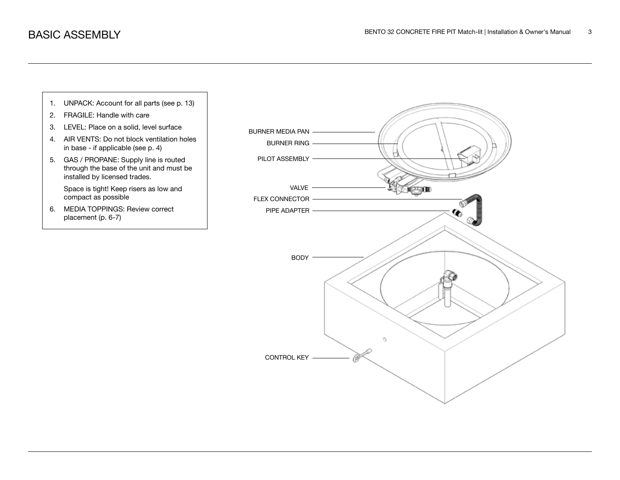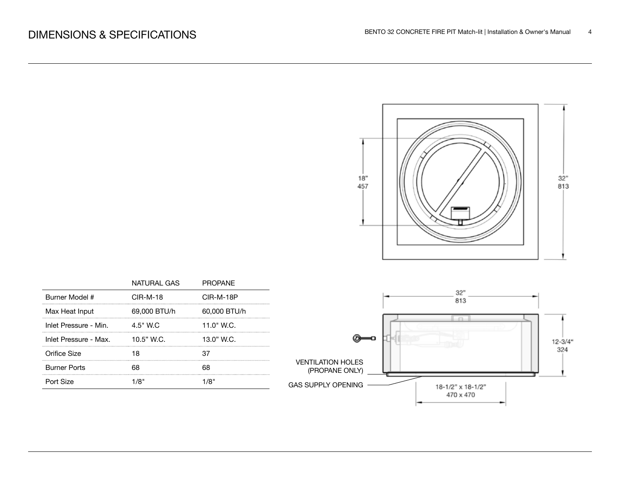

|                       | NATURAL GAS  | <b>PROPANE</b> |
|-----------------------|--------------|----------------|
| Burner Model #        | $CIR-M-18$   | CIR-M-18P      |
| Max Heat Input        | 69,000 BTU/h | 60,000 BTU/h   |
| Inlet Pressure - Min. | $4.5"$ W.C.  | 11.0" W.C.     |
| Inlet Pressure - Max. | $10.5"$ W.C. | $13.0"$ W.C.   |
| Orifice Size          |              |                |
| <b>Burner Ports</b>   |              |                |
| Port Size             | /8"          | 1/8"           |

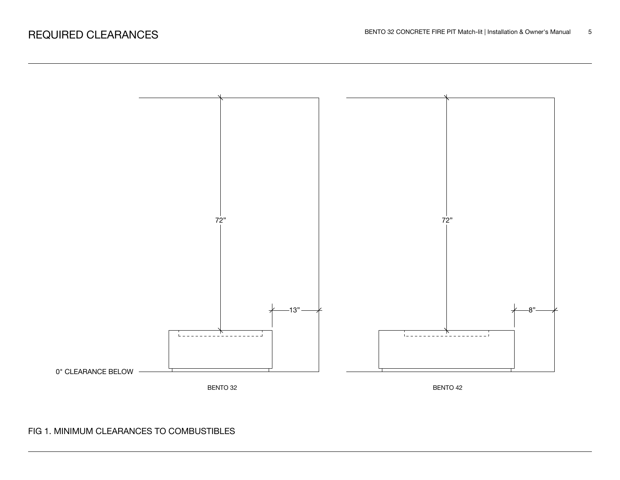

## FIG 1. MINIMUM CLEARANCES TO COMBUSTIBLES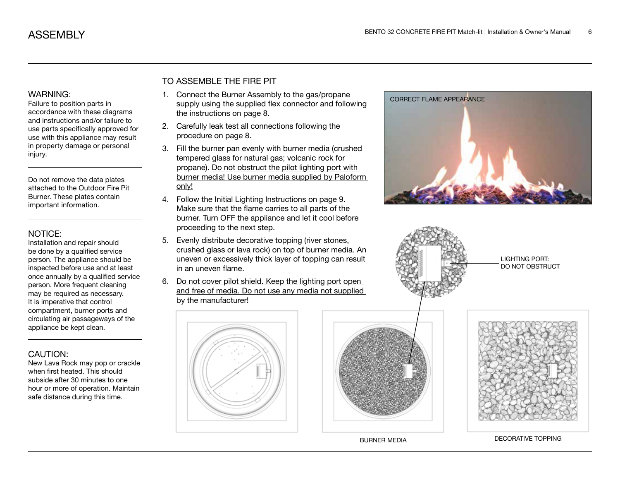### WARNING:

Failure to position parts in accordance with these diagrams and instructions and/or failure to use parts specifically approved for use with this appliance may result in property damage or personal injury.

Do not remove the data plates attached to the Outdoor Fire Pit Burner. These plates contain important information.

### NOTICE:

Installation and repair should be done by a qualified service person. The appliance should be inspected before use and at least once annually by a qualified service person. More frequent cleaning may be required as necessary. It is imperative that control compartment, burner ports and circulating air passageways of the appliance be kept clean.

### CAUTION:

New Lava Rock may pop or crackle when first heated. This should subside after 30 minutes to one hour or more of operation. Maintain safe distance during this time.

### TO ASSEMBLE THE FIRE PIT

- 1. Connect the Burner Assembly to the gas/propane supply using the supplied flex connector and following the instructions on page 8.
- 2. Carefully leak test all connections following the procedure on page 8.
- 3. Fill the burner pan evenly with burner media (crushed tempered glass for natural gas; volcanic rock for propane). Do not obstruct the pilot lighting port with burner media! Use burner media supplied by Paloform only!
- 4. Follow the Initial Lighting Instructions on page 9. Make sure that the flame carries to all parts of the burner. Turn OFF the appliance and let it cool before proceeding to the next step.
- 5. Evenly distribute decorative topping (river stones, crushed glass or lava rock) on top of burner media. An uneven or excessively thick layer of topping can result in an uneven flame.
- 6. Do not cover pilot shield. Keep the lighting port open and free of media. Do not use any media not supplied by the manufacturer!









LIGHTING PORT: DO NOT OBSTRUCT



BURNER MEDIA DECORATIVE TOPPING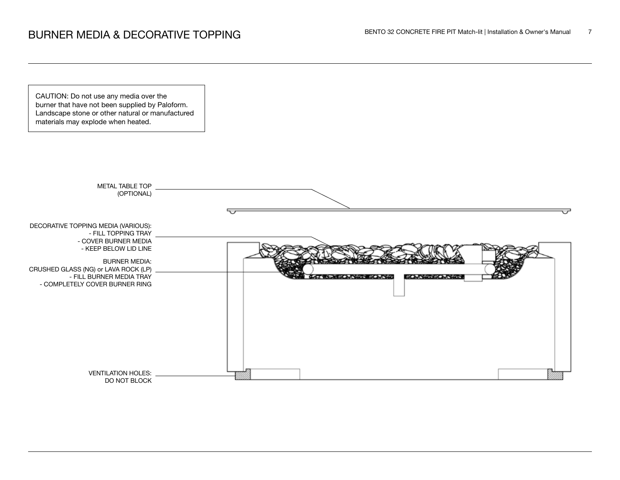# BENTO 32 CONCRETE FIRE PIT Match-lit | Installation & Owner's Manual 7

CAUTION: Do not use any media over the burner that have not been supplied by Paloform. Landscape stone or other natural or manufactured materials may explode when heated.

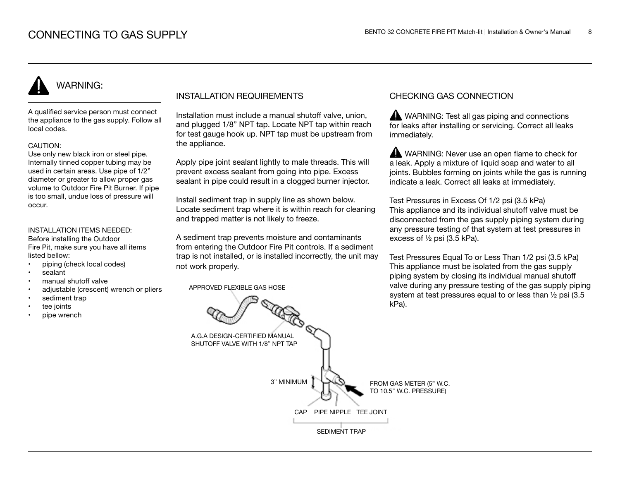# WARNING:

A qualified service person must connect the appliance to the gas supply. Follow all local codes.

#### CAUTION:

Use only new black iron or steel pipe. Internally tinned copper tubing may be used in certain areas. Use pipe of 1/2" diameter or greater to allow proper gas volume to Outdoor Fire Pit Burner. If pipe is too small, undue loss of pressure will occur.

### INSTALLATION ITEMS NEEDED:

Before installing the Outdoor Fire Pit, make sure you have all items listed bellow:

- piping (check local codes)
- sealant
- manual shutoff valve
- adjustable (crescent) wrench or pliers
- sediment trap
- tee joints
- pipe wrench

### INSTALLATION REQUIREMENTS

Installation must include a manual shutoff valve, union, and plugged 1/8" NPT tap. Locate NPT tap within reach for test gauge hook up. NPT tap must be upstream from the appliance.

Apply pipe joint sealant lightly to male threads. This will prevent excess sealant from going into pipe. Excess sealant in pipe could result in a clogged burner injector.

Install sediment trap in supply line as shown below. Locate sediment trap where it is within reach for cleaning and trapped matter is not likely to freeze.

A sediment trap prevents moisture and contaminants from entering the Outdoor Fire Pit controls. If a sediment trap is not installed, or is installed incorrectly, the unit may not work properly.

APPROVED FLEXIBLE GAS HOSE

### CHECKING GAS CONNECTION

WARNING: Test all gas piping and connections for leaks after installing or servicing. Correct all leaks immediately.

WARNING: Never use an open flame to check for a leak. Apply a mixture of liquid soap and water to all joints. Bubbles forming on joints while the gas is running indicate a leak. Correct all leaks at immediately.

Test Pressures in Excess Of 1/2 psi (3.5 kPa) This appliance and its individual shutoff valve must be disconnected from the gas supply piping system during any pressure testing of that system at test pressures in excess of ½ psi (3.5 kPa).

Test Pressures Equal To or Less Than 1/2 psi (3.5 kPa) This appliance must be isolated from the gas supply piping system by closing its individual manual shutoff valve during any pressure testing of the gas supply piping system at test pressures equal to or less than ½ psi (3.5 kPa).

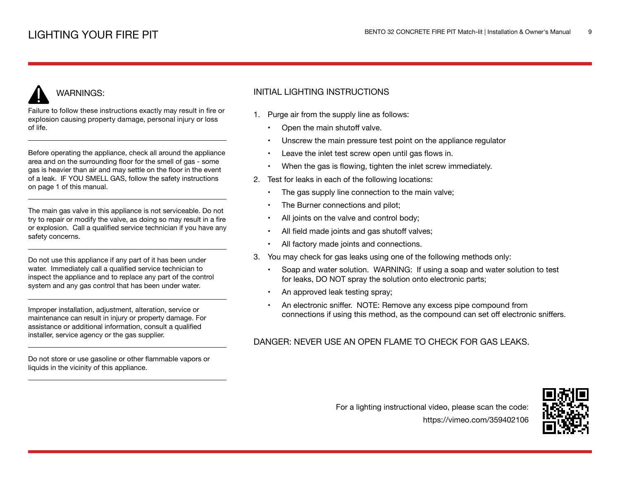# WARNINGS:

Failure to follow these instructions exactly may result in fire or explosion causing property damage, personal injury or loss of life.

Before operating the appliance, check all around the appliance area and on the surrounding floor for the smell of gas - some gas is heavier than air and may settle on the floor in the event of a leak. IF YOU SMELL GAS, follow the safety instructions on page 1 of this manual.

The main gas valve in this appliance is not serviceable. Do not try to repair or modify the valve, as doing so may result in a fire or explosion. Call a qualified service technician if you have any safety concerns.

Do not use this appliance if any part of it has been under water. Immediately call a qualified service technician to inspect the appliance and to replace any part of the control system and any gas control that has been under water.

Improper installation, adjustment, alteration, service or maintenance can result in injury or property damage. For assistance or additional information, consult a qualified installer, service agency or the gas supplier.

Do not store or use gasoline or other flammable vapors or liquids in the vicinity of this appliance.

### INITIAL LIGHTING INSTRUCTIONS

- 1. Purge air from the supply line as follows:
	- Open the main shutoff valve.
	- Unscrew the main pressure test point on the appliance regulator
	- Leave the inlet test screw open until gas flows in.
	- When the gas is flowing, tighten the inlet screw immediately.
- 2. Test for leaks in each of the following locations:
	- The gas supply line connection to the main valve;
	- The Burner connections and pilot;
	- All joints on the valve and control body;
	- All field made joints and gas shutoff valves;
	- All factory made joints and connections.
- 3. You may check for gas leaks using one of the following methods only:
	- Soap and water solution. WARNING: If using a soap and water solution to test for leaks, DO NOT spray the solution onto electronic parts;
	- An approved leak testing spray;
	- An electronic sniffer. NOTE: Remove any excess pipe compound from connections if using this method, as the compound can set off electronic sniffers.

### DANGER: NEVER USE AN OPEN FLAME TO CHECK FOR GAS LEAKS.

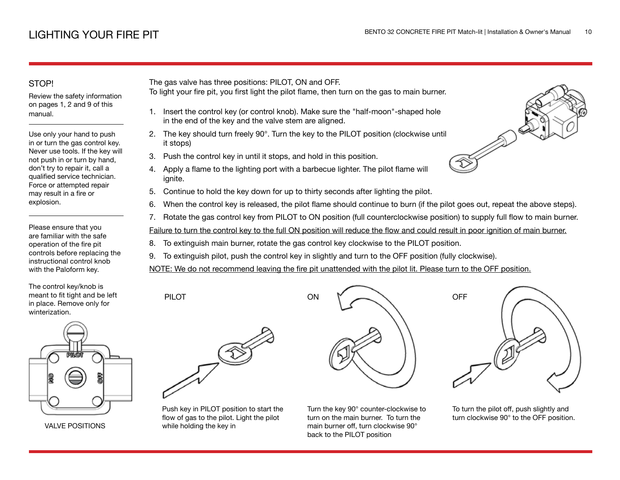### STOP!

Review the safety information on pages 1, 2 and 9 of this manual.

Use only your hand to push in or turn the gas control key. Never use tools. If the key will not push in or turn by hand, don't try to repair it, call a qualified service technician. Force or attempted repair may result in a fire or explosion.

Please ensure that you are familiar with the safe operation of the fire pit controls before replacing the instructional control knob with the Paloform key.

The control key/knob is meant to fit tight and be left in place. Remove only for winterization.



VALVE POSITIONS

The gas valve has three positions: PILOT, ON and OFF.

- To light your fire pit, you first light the pilot flame, then turn on the gas to main burner.
	- 1. Insert the control key (or control knob). Make sure the "half-moon"-shaped hole in the end of the key and the valve stem are aligned.
- 2. The key should turn freely 90°. Turn the key to the PILOT position (clockwise until it stops)
- 3. Push the control key in until it stops, and hold in this position.
- 4. Apply a flame to the lighting port with a barbecue lighter. The pilot flame will ignite.
- 5. Continue to hold the key down for up to thirty seconds after lighting the pilot.
- 6. When the control key is released, the pilot flame should continue to burn (if the pilot goes out, repeat the above steps).
- 7. Rotate the gas control key from PILOT to ON position (full counterclockwise position) to supply full flow to main burner.

Failure to turn the control key to the full ON position will reduce the flow and could result in poor ignition of main burner.

- 8. To extinguish main burner, rotate the gas control key clockwise to the PILOT position.
- 9. To extinguish pilot, push the control key in slightly and turn to the OFF position (fully clockwise).

ON

NOTE: We do not recommend leaving the fire pit unattended with the pilot lit. Please turn to the OFF position.



PILOT

Push key in PILOT position to start the flow of gas to the pilot. Light the pilot while holding the key in

Turn the key 90° counter-clockwise to turn on the main burner. To turn the main burner off, turn clockwise 90° back to the PILOT position



To turn the pilot off, push slightly and turn clockwise 90° to the OFF position.

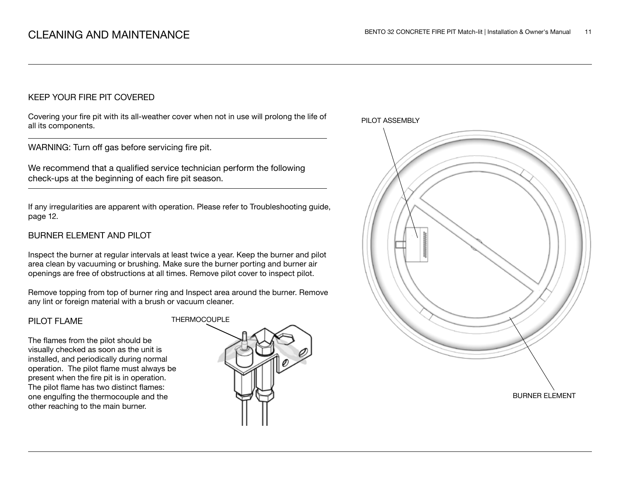### KEEP YOUR FIRE PIT COVERED

Covering your fire pit with its all-weather cover when not in use will prolong the life of all its components.

WARNING: Turn off gas before servicing fire pit.

We recommend that a qualified service technician perform the following check-ups at the beginning of each fire pit season.

If any irregularities are apparent with operation. Please refer to Troubleshooting guide, page 12.

### BURNER ELEMENT AND PILOT

Inspect the burner at regular intervals at least twice a year. Keep the burner and pilot area clean by vacuuming or brushing. Make sure the burner porting and burner air openings are free of obstructions at all times. Remove pilot cover to inspect pilot.

Remove topping from top of burner ring and Inspect area around the burner. Remove any lint or foreign material with a brush or vacuum cleaner.

### PILOT FLAME

The flames from the pilot should be visually checked as soon as the unit is installed, and periodically during normal operation. The pilot flame must always be present when the fire pit is in operation. The pilot flame has two distinct flames: one engulfing the thermocouple and the other reaching to the main burner.



PILOT ASSEMBLY

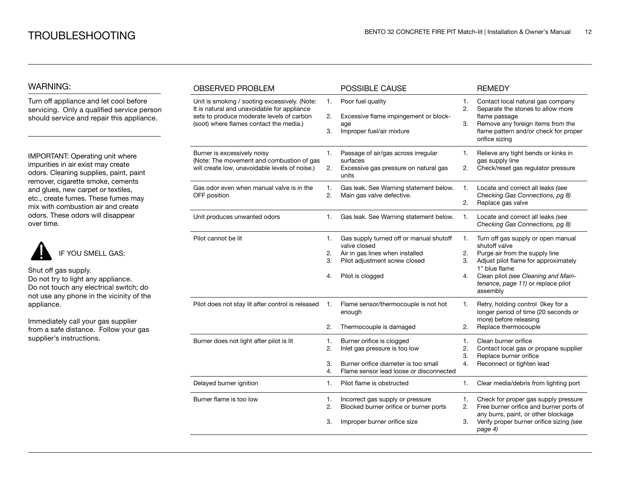### WARNING:

Turn off appliance and let cool before servicing. Only a qualified service person should service and repair this appliance.

IMPORTANT: Operating unit where impurities in air exist may create odors. Cleaning supplies, paint, paint remover, cigarette smoke, cements and glues, new carpet or textiles, etc., create fumes. These fumes may mix with combustion air and create odors. These odors will disappear over time.



Shut off gas supply. Do not try to light any appliance.

Do not touch any electrical switch; do not use any phone in the vicinity of the appliance.

Immediately call your gas supplier from a safe distance. Follow your gas supplier's instructions.

| <b>OBSERVED PROBLEM</b>                                                                                                                                                              |                      | POSSIBLE CAUSE                                                                                                                                  |                      | <b>REMEDY</b>                                                                                                                                                                                                                           |
|--------------------------------------------------------------------------------------------------------------------------------------------------------------------------------------|----------------------|-------------------------------------------------------------------------------------------------------------------------------------------------|----------------------|-----------------------------------------------------------------------------------------------------------------------------------------------------------------------------------------------------------------------------------------|
| Unit is smoking / sooting excessively. (Note:<br>It is natural and unavoidable for appliance<br>sets to produce moderate levels of carbon<br>(soot) where flames contact the media.) | 1.<br>2.<br>3.       | Poor fuel quality<br>Excessive flame impingement or block-<br>age<br>Improper fuel/air mixture                                                  | 1.<br>2.<br>3.       | Contact local natural gas company<br>Separate the stones to allow more<br>flame passage<br>Remove any foreign items from the<br>flame pattern and/or check for proper<br>orifice sizing                                                 |
| Burner is excessively noisy<br>(Note: The movement and combustion of gas<br>will create low, unavoidable levels of noise.)                                                           | 1.<br>2.             | Passage of air/gas across irregular<br>surfaces<br>Excessive gas pressure on natural gas<br>units                                               | 1.<br>2.             | Relieve any tight bends or kinks in<br>gas supply line<br>Check/reset gas regulator pressure                                                                                                                                            |
| Gas odor even when manual valve is in the<br>OFF position                                                                                                                            | 1.<br>2.             | Gas leak. See Warning statement below.<br>Main gas valve defective.                                                                             | 1.<br>2.             | Locate and correct all leaks (see<br>Checking Gas Connections, pg 8)<br>Replace gas valve                                                                                                                                               |
| Unit produces unwanted odors                                                                                                                                                         | 1.                   | Gas leak. See Warning statement below.                                                                                                          | 1.                   | Locate and correct all leaks (see<br>Checking Gas Connections, pg 8)                                                                                                                                                                    |
| Pilot cannot be lit                                                                                                                                                                  | 1.<br>2.<br>3.<br>4. | Gas supply turned off or manual shutoff<br>valve closed<br>Air in gas lines when installed<br>Pilot adjustment screw closed<br>Pilot is clogged | 1.<br>2.<br>3.<br>4. | Turn off gas supply or open manual<br>shutoff valve<br>Purge air from the supply line<br>Adjust pilot flame for approximately<br>1" blue flame<br>Clean pilot (see Cleaning and Main-<br>tenance, page 11) or replace pilot<br>assembly |
| Pilot does not stay lit after control is released                                                                                                                                    | 1.<br>2.             | Flame sensor/thermocouple is not hot<br>enough<br>Thermocouple is damaged                                                                       | 1.<br>2.             | Retry, holding control 0key for a<br>longer period of time (20 seconds or<br>more) before releasing<br>Replace thermocouple                                                                                                             |
| Burner does not light after pilot is lit                                                                                                                                             | 1.<br>2.<br>3.<br>4. | Burner orifice is clogged<br>Inlet gas pressure is too low<br>Burner orifice diameter is too small<br>Flame sensor lead loose or disconnected   | 1.<br>2.<br>3.<br>4. | Clean burner orifice<br>Contact local gas or propane supplier<br>Replace burner orifice<br>Reconnect or tighten lead                                                                                                                    |
| Delayed burner ignition                                                                                                                                                              | 1.                   | Pilot flame is obstructed                                                                                                                       | 1.                   | Clear media/debris from lighting port                                                                                                                                                                                                   |
| Burner flame is too low                                                                                                                                                              | 1.<br>2.<br>3.       | Incorrect gas supply or pressure<br>Blocked burner orifice or burner ports<br>Improper burner orifice size                                      | 1.<br>2.<br>3.       | Check for proper gas supply pressure<br>Free burner orifice and burner ports of<br>any burrs, paint, or other blockage<br>Verify proper burner orifice sizing (see<br>page 4)                                                           |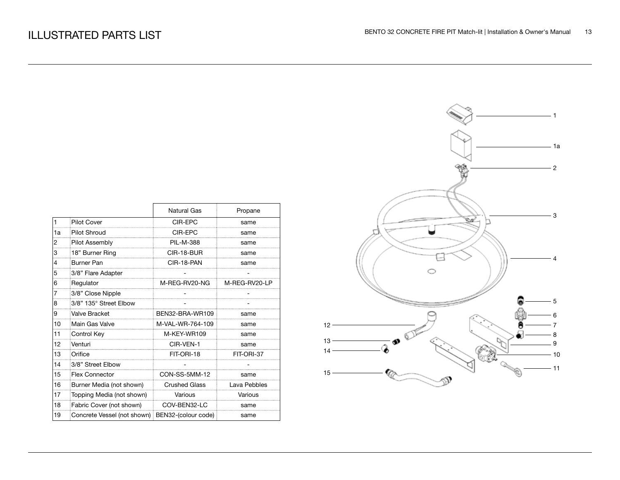|              |                                                   | Natural Gas          | Propane       |
|--------------|---------------------------------------------------|----------------------|---------------|
| $\mathbf{1}$ | <b>Pilot Cover</b>                                | CIR-EPC              | same          |
| 1a           | Pilot Shroud                                      | CIR-EPC              | same          |
| 2            | Pilot Assembly                                    | <b>PIL-M-388</b>     | same          |
| 3            | 18" Burner Ring                                   | CIR-18-BUR           | same          |
| 4            | <b>Burner Pan</b>                                 | CIR-18-PAN           | same          |
| 5            | 3/8" Flare Adapter                                |                      |               |
| 6            | Regulator                                         | M-REG-RV20-NG        | M-REG-RV20-LP |
| 7            | 3/8" Close Nipple                                 |                      |               |
| 8            | 3/8" 135° Street Elbow                            |                      |               |
| 9            | Valve Bracket                                     | BEN32-BRA-WR109      | same          |
| 10           | Main Gas Valve                                    | M-VAL-WR-764-109     | same          |
| 11           | Control Key                                       | M-KEY-WR109          | same          |
| 12           | Venturi                                           | CIR-VEN-1            | same          |
| 13           | Orifice                                           | FIT-ORI-18           | FIT-ORI-37    |
| 14           | 3/8" Street Elbow                                 |                      |               |
| 15           | <b>Flex Connector</b>                             | CON-SS-5MM-12        | same          |
| 16           | Burner Media (not shown)                          | <b>Crushed Glass</b> | Lava Pebbles  |
| 17           | Topping Media (not shown)                         | Various              | Various       |
| 18           | Fabric Cover (not shown)                          | COV-BEN32-LC         | same          |
| 19           | Concrete Vessel (not shown)   BEN32-(colour code) |                      | same          |